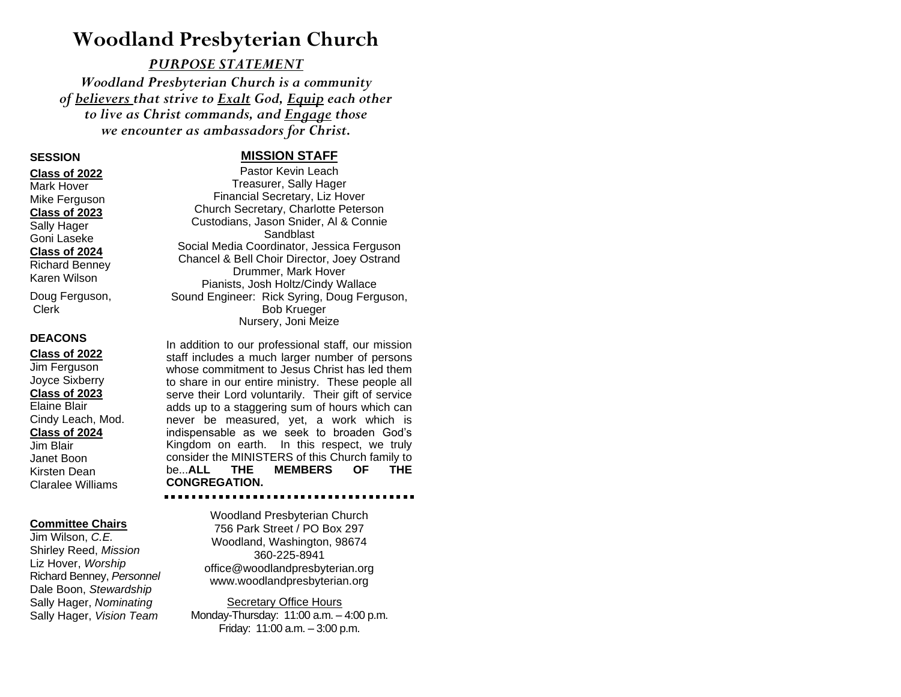# **Woodland Presbyterian Church**

### *PURPOSE STATEMENT*

*Woodland Presbyterian Church is a community of believers that strive to Exalt God, Equip each other to live as Christ commands, and Engage those we encounter as ambassadors for Christ.*

### **SESSION**

#### **Class of 2022**

Mark Hover Mike Ferguson **Class of 2023** Sally Hager Goni Laseke

#### **Class of 2024**

Richard Benney Karen Wilson

Doug Ferguson, Clerk

### **DEACONS**

**Class of 2022**

#### Jim Ferguson Joyce Sixberry **Class of 2023** Elaine Blair Cindy Leach, Mod. **Class of 2024** Jim Blair Janet Boon Kirsten Dean Claralee Williams

### **Committee Chairs**

Jim Wilson, *C.E.* Shirley Reed, *Mission* Liz Hover, *Worship* Richard Benney, *Personnel* Dale Boon, *Stewardship* Sally Hager, *Nominating* Sally Hager, *Vision Team*

## **MISSION STAFF**

Pastor Kevin Leach Treasurer, Sally Hager Financial Secretary, Liz Hover Church Secretary, Charlotte Peterson Custodians, Jason Snider, Al & Connie Sandblast Social Media Coordinator, Jessica Ferguson Chancel & Bell Choir Director, Joey Ostrand Drummer, Mark Hover Pianists, Josh Holtz/Cindy Wallace Sound Engineer: Rick Syring, Doug Ferguson, Bob Krueger Nursery, Joni Meize

In addition to our professional staff, our mission staff includes a much larger number of persons whose commitment to Jesus Christ has led them to share in our entire ministry. These people all serve their Lord voluntarily. Their gift of service adds up to a staggering sum of hours which can never be measured, yet, a work which is indispensable as we seek to broaden God's Kingdom on earth. In this respect, we truly consider the MINISTERS of this Church family to be...**ALL THE MEMBERS OF THE CONGREGATION.**

Woodland Presbyterian Church 756 Park Street / PO Box 297 Woodland, Washington, 98674 360-225-8941 office@woodlandpresbyterian.org www.woodlandpresbyterian.org

 Secretary Office Hours Monday-Thursday: 11:00 a.m. – 4:00 p.m. Friday: 11:00 a.m. – 3:00 p.m.